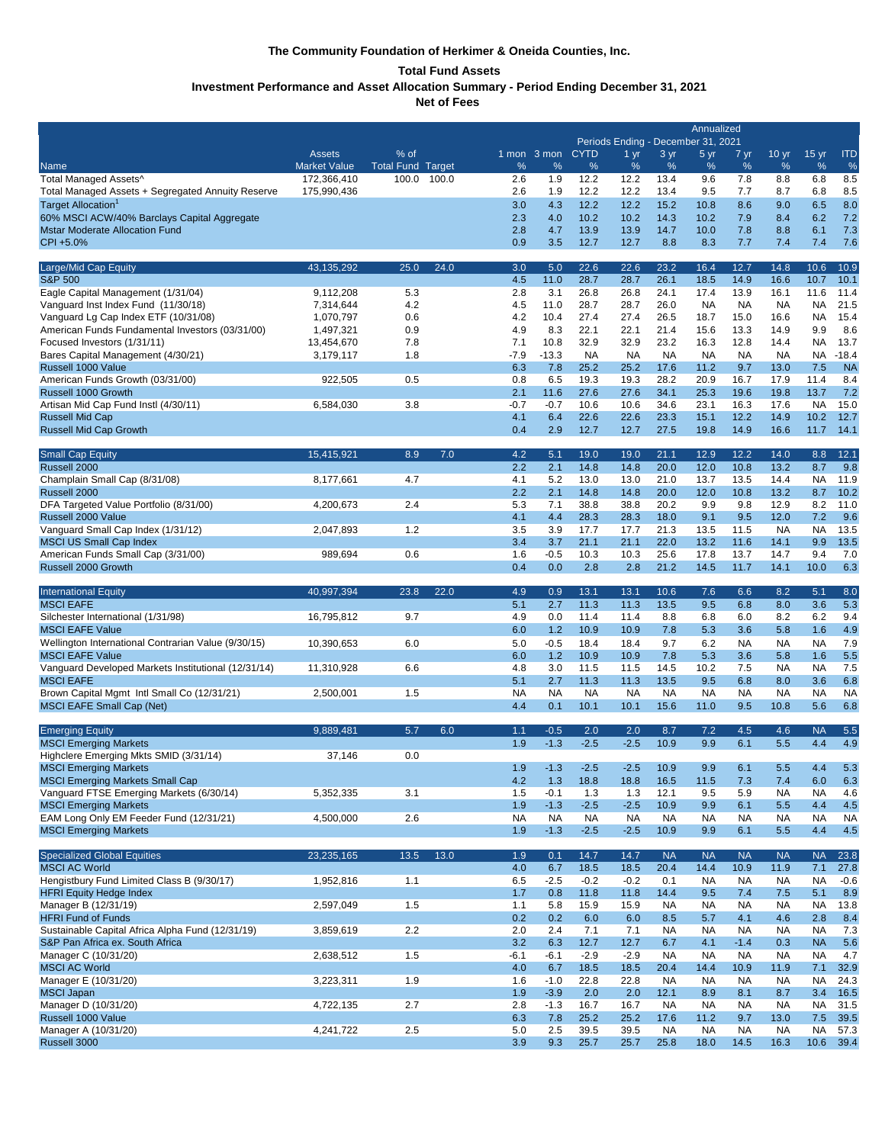## **The Community Foundation of Herkimer & Oneida Counties, Inc.**

## **Total Fund Assets**

**Investment Performance and Asset Allocation Summary - Period Ending December 31, 2021**

**Net of Fees** 

|                                                                                     |                            |                   |        |                  |                     | Annualized<br>Periods Ending - December 31, 2021 |                     |                   |                   |                     |                  |                        |                  |  |
|-------------------------------------------------------------------------------------|----------------------------|-------------------|--------|------------------|---------------------|--------------------------------------------------|---------------------|-------------------|-------------------|---------------------|------------------|------------------------|------------------|--|
|                                                                                     | <b>Assets</b>              | % of              |        |                  | 1 mon 3 mon         | <b>CYTD</b>                                      | 1 <sub>yr</sub>     | 3 yr              | 5 yr              | 7 yr                | 10 <sub>yr</sub> | 15 <sub>yr</sub>       | <b>ITD</b>       |  |
| Name                                                                                | <b>Market Value</b>        | <b>Total Fund</b> | Target | %                | %                   | %                                                | %                   | %                 | %                 | %                   | %                | %                      | %                |  |
| Total Managed Assets^<br>Total Managed Assets + Segregated Annuity Reserve          | 172,366,410<br>175,990,436 | 100.0             | 100.0  | 2.6<br>2.6       | 1.9<br>1.9          | 12.2<br>12.2                                     | 12.2<br>12.2        | 13.4<br>13.4      | 9.6<br>9.5        | 7.8<br>7.7          | 8.8<br>8.7       | 6.8<br>6.8             | 8.5<br>8.5       |  |
| Target Allocation <sup>1</sup>                                                      |                            |                   |        | 3.0              | 4.3                 | 12.2                                             | 12.2                | 15.2              | 10.8              | 8.6                 | 9.0              | 6.5                    | 8.0              |  |
| 60% MSCI ACW/40% Barclays Capital Aggregate                                         |                            |                   |        | 2.3              | 4.0                 | 10.2                                             | 10.2                | 14.3              | 10.2              | 7.9                 | 8.4              | 6.2                    | 7.2              |  |
| <b>Mstar Moderate Allocation Fund</b><br>CPI +5.0%                                  |                            |                   |        | 2.8<br>0.9       | 4.7<br>3.5          | 13.9<br>12.7                                     | 13.9<br>12.7        | 14.7<br>8.8       | 10.0<br>8.3       | 7.8<br>7.7          | 8.8<br>7.4       | 6.1<br>7.4             | 7.3<br>7.6       |  |
|                                                                                     |                            |                   |        |                  |                     |                                                  |                     |                   |                   |                     |                  |                        |                  |  |
| Large/Mid Cap Equity                                                                | 43.135.292                 | 25.0              | 24.0   | 3.0              | 5.0                 | 22.6                                             | 22.6                | 23.2              | 16.4              | 12.7                | 14.8             | 10.6                   | 10.9             |  |
| <b>S&amp;P 500</b><br>Eagle Capital Management (1/31/04)                            | 9,112,208                  | 5.3               |        | 4.5<br>2.8       | 11.0<br>3.1         | 28.7<br>26.8                                     | 28.7<br>26.8        | 26.1<br>24.1      | 18.5<br>17.4      | 14.9<br>13.9        | 16.6<br>16.1     | 10.7<br>11.6           | 10.1<br>11.4     |  |
| Vanguard Inst Index Fund (11/30/18)                                                 | 7,314,644                  | 4.2               |        | 4.5              | 11.0                | 28.7                                             | 28.7                | 26.0              | <b>NA</b>         | <b>NA</b>           | <b>NA</b>        | NA                     | 21.5             |  |
| Vanguard Lg Cap Index ETF (10/31/08)                                                | 1,070,797                  | 0.6               |        | 4.2              | 10.4                | 27.4                                             | 27.4                | 26.5              | 18.7              | 15.0                | 16.6             | <b>NA</b>              | 15.4             |  |
| American Funds Fundamental Investors (03/31/00)<br>Focused Investors (1/31/11)      | 1,497,321<br>13,454,670    | 0.9<br>7.8        |        | 4.9<br>7.1       | 8.3<br>10.8         | 22.1<br>32.9                                     | 22.1<br>32.9        | 21.4<br>23.2      | 15.6<br>16.3      | 13.3<br>12.8        | 14.9<br>14.4     | 9.9<br>NA              | 8.6<br>13.7      |  |
| Bares Capital Management (4/30/21)                                                  | 3,179,117                  | 1.8               |        | $-7.9$           | $-13.3$             | NA                                               | NA                  | NA                | <b>NA</b>         | <b>NA</b>           | <b>NA</b>        | NA                     | $-18.4$          |  |
| Russell 1000 Value                                                                  |                            |                   |        | 6.3              | 7.8                 | 25.2                                             | 25.2                | 17.6              | 11.2              | 9.7                 | 13.0             | 7.5                    | <b>NA</b>        |  |
| American Funds Growth (03/31/00)                                                    | 922,505                    | 0.5               |        | 0.8              | 6.5                 | 19.3                                             | 19.3                | 28.2              | 20.9              | 16.7                | 17.9             | 11.4                   | 8.4              |  |
| Russell 1000 Growth<br>Artisan Mid Cap Fund Instl (4/30/11)                         | 6,584,030                  | 3.8               |        | 2.1<br>$-0.7$    | 11.6<br>$-0.7$      | 27.6<br>10.6                                     | 27.6<br>10.6        | 34.1<br>34.6      | 25.3<br>23.1      | 19.6<br>16.3        | 19.8<br>17.6     | 13.7<br><b>NA</b>      | 7.2<br>15.0      |  |
| <b>Russell Mid Cap</b>                                                              |                            |                   |        | 4.1              | 6.4                 | 22.6                                             | 22.6                | 23.3              | 15.1              | 12.2                | 14.9             | 10.2                   | 12.7             |  |
| Russell Mid Cap Growth                                                              |                            |                   |        | 0.4              | 2.9                 | 12.7                                             | 12.7                | 27.5              | 19.8              | 14.9                | 16.6             | 11.7                   | 14.1             |  |
| <b>Small Cap Equity</b>                                                             | 15,415,921                 | 8.9               | 7.0    | 4.2              | 5.1                 | 19.0                                             | 19.0                | 21.1              | 12.9              | 12.2                | 14.0             | 8.8                    | 12.1             |  |
| Russell 2000                                                                        |                            |                   |        | 2.2              | 2.1                 | 14.8                                             | 14.8                | 20.0              | 12.0              | 10.8                | 13.2             | 8.7                    | 9.8              |  |
| Champlain Small Cap (8/31/08)                                                       | 8.177.661                  | 4.7               |        | 4.1              | 5.2                 | 13.0                                             | 13.0                | 21.0              | 13.7              | 13.5                | 14.4             | <b>NA</b>              | 11.9             |  |
| Russell 2000<br>DFA Targeted Value Portfolio (8/31/00)                              | 4,200,673                  | 2.4               |        | 2.2<br>5.3       | 2.1<br>7.1          | 14.8<br>38.8                                     | 14.8<br>38.8        | 20.0<br>20.2      | 12.0<br>9.9       | 10.8<br>9.8         | 13.2<br>12.9     | 8.7<br>8.2             | 10.2<br>11.0     |  |
| Russell 2000 Value                                                                  |                            |                   |        | 4.1              | 4.4                 | 28.3                                             | 28.3                | 18.0              | 9.1               | 9.5                 | 12.0             | 7.2                    | 9.6              |  |
| Vanguard Small Cap Index (1/31/12)                                                  | 2,047,893                  | 1.2               |        | 3.5              | 3.9                 | 17.7                                             | 17.7                | 21.3              | 13.5              | 11.5                | <b>NA</b>        | <b>NA</b>              | 13.5             |  |
| <b>MSCI US Small Cap Index</b>                                                      |                            |                   |        | 3.4              | 3.7                 | 21.1                                             | 21.1                | 22.0              | 13.2              | 11.6                | 14.1             | 9.9                    | 13.5             |  |
| American Funds Small Cap (3/31/00)<br>Russell 2000 Growth                           | 989,694                    | 0.6               |        | 1.6<br>0.4       | $-0.5$<br>0.0       | 10.3<br>2.8                                      | 10.3<br>2.8         | 25.6<br>21.2      | 17.8<br>14.5      | 13.7<br>11.7        | 14.7<br>14.1     | 9.4<br>10.0            | 7.0<br>6.3       |  |
|                                                                                     |                            |                   |        |                  |                     |                                                  |                     |                   |                   |                     |                  |                        |                  |  |
| <b>International Equity</b>                                                         | 40,997,394                 | 23.8              | 22.0   | 4.9              | 0.9                 | 13.1                                             | 13.1                | 10.6              | 7.6               | 6.6                 | 8.2              | 5.1                    | 8.0              |  |
| <b>MSCI EAFE</b><br>Silchester International (1/31/98)                              | 16,795,812                 | 9.7               |        | 5.1<br>4.9       | 2.7<br>0.0          | 11.3<br>11.4                                     | 11.3<br>11.4        | 13.5<br>8.8       | 9.5<br>6.8        | 6.8<br>6.0          | 8.0<br>8.2       | 3.6<br>6.2             | 5.3<br>9.4       |  |
| <b>MSCI EAFE Value</b>                                                              |                            |                   |        | 6.0              | 1.2                 | 10.9                                             | 10.9                | 7.8               | 5.3               | 3.6                 | 5.8              | 1.6                    | 4.9              |  |
| Wellington International Contrarian Value (9/30/15)                                 | 10,390,653                 | 6.0               |        | 5.0              | $-0.5$              | 18.4                                             | 18.4                | 9.7               | 6.2               | <b>NA</b>           | <b>NA</b>        | <b>NA</b>              | 7.9              |  |
| <b>MSCI EAFE Value</b>                                                              |                            |                   |        | 6.0              | 1.2                 | 10.9                                             | 10.9                | 7.8               | 5.3               | 3.6                 | 5.8              | 1.6                    | 5.5              |  |
| Vanguard Developed Markets Institutional (12/31/14)<br><b>MSCI EAFE</b>             | 11,310,928                 | 6.6               |        | 4.8<br>5.1       | 3.0<br>2.7          | 11.5<br>11.3                                     | 11.5<br>11.3        | 14.5<br>13.5      | 10.2<br>9.5       | 7.5<br>6.8          | <b>NA</b><br>8.0 | <b>NA</b><br>3.6       | 7.5<br>6.8       |  |
| Brown Capital Mgmt Intl Small Co (12/31/21)                                         | 2,500,001                  | 1.5               |        | <b>NA</b>        | <b>NA</b>           | <b>NA</b>                                        | <b>NA</b>           | <b>NA</b>         | <b>NA</b>         | <b>NA</b>           | <b>NA</b>        | <b>NA</b>              | <b>NA</b>        |  |
| <b>MSCI EAFE Small Cap (Net)</b>                                                    |                            |                   |        | 4.4              | 0.1                 | 10.1                                             | 10.1                | 15.6              | 11.0              | 9.5                 | 10.8             | 5.6                    | 6.8              |  |
| <b>Emerging Equity</b>                                                              | 9,889,481                  | 5.7               | 6.0    | 1.1              | $-0.5$              | 2.0                                              | 2.0                 | 8.7               | 7.2               | 4.5                 | 4.6              | <b>NA</b>              | 5.5              |  |
| <b>MSCI Emerging Markets</b>                                                        |                            |                   |        | 1.9              | $-1.3$              | $-2.5$                                           | $-2.5$              | 10.9              | 9.9               | 6.1                 | 5.5              | 4.4                    | 4.9              |  |
| Highclere Emerging Mkts SMID (3/31/14)                                              | 37,146                     | 0.0               |        |                  |                     |                                                  |                     |                   |                   |                     |                  |                        |                  |  |
| <b>MSCI Emerging Markets</b><br><b>MSCI Emerging Markets Small Cap</b>              |                            |                   |        | 1.9<br>4.2       | $-1.3$<br>1.3       | $-2.5$<br>18.8                                   | $-2.5$<br>18.8      | 10.9<br>16.5      | 9.9<br>11.5       | 6.1<br>7.3          | 5.5<br>7.4       | 4.4<br>6.0             | 5.3<br>6.3       |  |
| Vanguard FTSE Emerging Markets (6/30/14)                                            | 5,352,335                  | 3.1               |        | 1.5              | $-0.1$              | 1.3                                              | 1.3                 | 12.1              | 9.5               | 5.9                 | <b>NA</b>        | <b>NA</b>              | 4.6              |  |
| <b>MSCI Emerging Markets</b>                                                        |                            |                   |        | 1.9              | $-1.3$              | $-2.5$                                           | $-2.5$              | 10.9              | 9.9               | 6.1                 | 5.5              | 4.4                    | 4.5              |  |
| EAM Long Only EM Feeder Fund (12/31/21)<br><b>MSCI Emerging Markets</b>             | 4,500,000                  | 2.6               |        | <b>NA</b><br>1.9 | <b>NA</b><br>$-1.3$ | <b>NA</b><br>$-2.5$                              | <b>NA</b><br>$-2.5$ | <b>NA</b><br>10.9 | <b>NA</b><br>9.9  | <b>NA</b><br>6.1    | <b>NA</b><br>5.5 | <b>NA</b><br>4.4       | <b>NA</b><br>4.5 |  |
|                                                                                     |                            |                   |        |                  |                     |                                                  |                     |                   |                   |                     |                  |                        |                  |  |
| <b>Specialized Global Equities</b>                                                  | 23,235,165                 | 13.5              | 13.0   | 1.9              | 0.1                 | 14.7                                             | 14.7                | <b>NA</b>         | <b>NA</b>         | <b>NA</b>           | <b>NA</b>        | <b>NA</b>              | 23.8             |  |
| <b>MSCI AC World</b><br>Hengistbury Fund Limited Class B (9/30/17)                  | 1,952,816                  | 1.1               |        | 4.0<br>6.5       | 6.7<br>$-2.5$       | 18.5<br>$-0.2$                                   | 18.5<br>$-0.2$      | 20.4<br>0.1       | 14.4<br><b>NA</b> | 10.9<br><b>NA</b>   | 11.9             | 7.1<br><b>NA</b>       | 27.8<br>$-0.6$   |  |
| <b>HFRI Equity Hedge Index</b>                                                      |                            |                   |        | 1.7              | 0.8                 | 11.8                                             | 11.8                | 14.4              | 9.5               | 7.4                 | NA<br>7.5        | 5.1                    | 8.9              |  |
| Manager B (12/31/19)                                                                | 2,597,049                  | 1.5               |        | 1.1              | 5.8                 | 15.9                                             | 15.9                | <b>NA</b>         | <b>NA</b>         | <b>NA</b>           | <b>NA</b>        | <b>NA</b>              | 13.8             |  |
| <b>HFRI Fund of Funds</b>                                                           |                            |                   |        | 0.2              | 0.2                 | 6.0                                              | 6.0                 | 8.5               | 5.7               | 4.1                 | 4.6              | 2.8                    | 8.4              |  |
| Sustainable Capital Africa Alpha Fund (12/31/19)<br>S&P Pan Africa ex. South Africa | 3,859,619                  | 2.2               |        | 2.0<br>3.2       | 2.4                 | 7.1                                              | 7.1                 | <b>NA</b>         | <b>NA</b>         | <b>NA</b>           | <b>NA</b>        | <b>NA</b><br><b>NA</b> | 7.3<br>5.6       |  |
| Manager C (10/31/20)                                                                | 2,638,512                  | 1.5               |        | $-6.1$           | 6.3<br>$-6.1$       | 12.7<br>$-2.9$                                   | 12.7<br>$-2.9$      | 6.7<br><b>NA</b>  | 4.1<br><b>NA</b>  | $-1.4$<br><b>NA</b> | 0.3<br><b>NA</b> | <b>NA</b>              | 4.7              |  |
| <b>MSCI AC World</b>                                                                |                            |                   |        | 4.0              | 6.7                 | 18.5                                             | 18.5                | 20.4              | 14.4              | 10.9                | 11.9             | 7.1                    | 32.9             |  |
| Manager E (10/31/20)                                                                | 3,223,311                  | 1.9               |        | 1.6              | $-1.0$              | 22.8                                             | 22.8                | <b>NA</b>         | <b>NA</b>         | <b>NA</b>           | <b>NA</b>        | <b>NA</b>              | 24.3             |  |
| <b>MSCI Japan</b><br>Manager D (10/31/20)                                           | 4,722,135                  | 2.7               |        | 1.9<br>2.8       | $-3.9$<br>$-1.3$    | 2.0<br>16.7                                      | 2.0<br>16.7         | 12.1<br><b>NA</b> | 8.9<br><b>NA</b>  | 8.1<br><b>NA</b>    | 8.7<br><b>NA</b> | 3.4<br><b>NA</b>       | 16.5<br>31.5     |  |
| Russell 1000 Value                                                                  |                            |                   |        | 6.3              | 7.8                 | 25.2                                             | 25.2                | 17.6              | 11.2              | 9.7                 | 13.0             | 7.5                    | 39.5             |  |
| Manager A (10/31/20)                                                                | 4,241,722                  | 2.5               |        | 5.0              | 2.5                 | 39.5                                             | 39.5                | <b>NA</b>         | <b>NA</b>         | <b>NA</b>           | <b>NA</b>        | <b>NA</b>              | 57.3             |  |
| Russell 3000                                                                        |                            |                   |        | 3.9              | 9.3                 | 25.7                                             | 25.7                | 25.8              | 18.0              | 14.5                | 16.3             | 10.6                   | 39.4             |  |